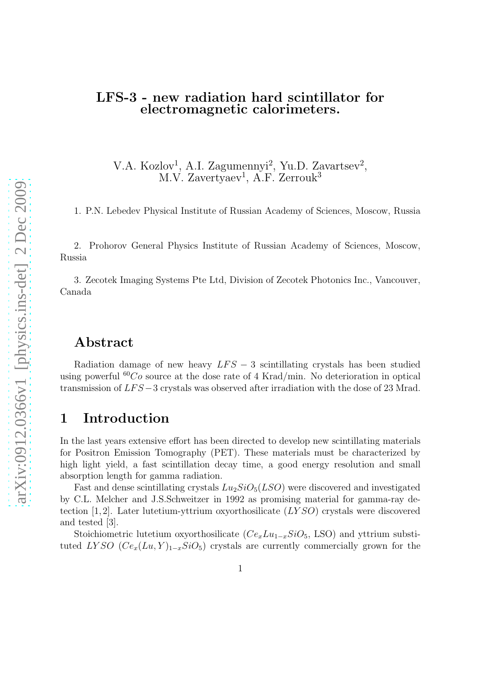#### LFS-3 - new radiation hard scintillator for electromagnetic calorimeters.

V.A. Kozlov<sup>1</sup>, A.I. Zagumennyi<sup>2</sup>, Yu.D. Zavartsev<sup>2</sup>,  $M.V. Zavertyaev<sup>1</sup>, A.F. Zerrouk<sup>3</sup>$ 

1. P.N. Lebedev Physical Institute of Russian Academy of Sciences, Moscow, Russia

2. Prohorov General Physics Institute of Russian Academy of Sciences, Moscow, Russia

3. Zecotek Imaging Systems Pte Ltd, Division of Zecotek Photonics Inc., Vancouver, Canada

### Abstract

Radiation damage of new heavy  $LFS - 3$  scintillating crystals has been studied using powerful  ${}^{60}Co$  source at the dose rate of 4 Krad/min. No deterioration in optical transmission of  $LFS-3$  crystals was observed after irradiation with the dose of 23 Mrad.

### 1 Introduction

In the last years extensive effort has been directed to develop new scintillating materials for Positron Emission Tomography (PET). These materials must be characterized by high light yield, a fast scintillation decay time, a good energy resolution and small absorption length for gamma radiation.

Fast and dense scintillating crystals  $Lu_2SiO_5(LSO)$  were discovered and investigated by C.L. Melcher and J.S.Schweitzer in 1992 as promising material for gamma-ray detection  $[1, 2]$ . Later lutetium-yttrium oxyorthosilicate  $(LYSO)$  crystals were discovered and tested [3].

Stoichiometric lutetium oxyorthosilicate ( $Ce_xLu_{1-x}SiO_5$ , LSO) and yttrium substituted LYSO  $(Ce_x(Lu, Y)_{1-x}SiO_5)$  crystals are currently commercially grown for the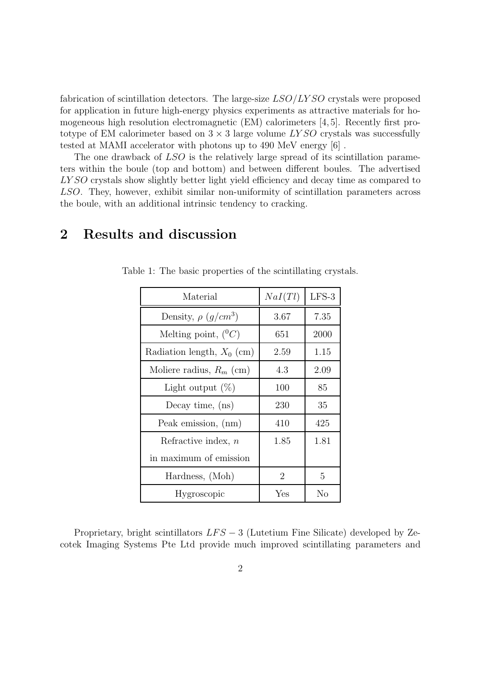fabrication of scintillation detectors. The large-size  $LSO/LYSO$  crystals were proposed for application in future high-energy physics experiments as attractive materials for homogeneous high resolution electromagnetic (EM) calorimeters [4, 5]. Recently first prototype of EM calorimeter based on  $3 \times 3$  large volume LYSO crystals was successfully tested at MAMI accelerator with photons up to 490 MeV energy [6] .

The one drawback of LSO is the relatively large spread of its scintillation parameters within the boule (top and bottom) and between different boules. The advertised LY SO crystals show slightly better light yield efficiency and decay time as compared to LSO. They, however, exhibit similar non-uniformity of scintillation parameters across the boule, with an additional intrinsic tendency to cracking.

## 2 Results and discussion

<span id="page-1-0"></span>

| Material                              | NaI(Tl) | $LFS-3$ |
|---------------------------------------|---------|---------|
| Density, $\rho \left( q/cm^3 \right)$ | 3.67    | 7.35    |
| Melting point, $(^0C)$                | 651     | 2000    |
| Radiation length, $X_0$ (cm)          | 2.59    | 1.15    |
| Moliere radius, $R_m$ (cm)            | 4.3     | 2.09    |
| Light output $(\%)$                   | 100     | 85      |
| Decay time, $(ns)$                    | 230     | 35      |
| Peak emission, (nm)                   | 410     | 425     |
| Refractive index, $n$                 | 1.85    | 1.81    |
| in maximum of emission                |         |         |
| Hardness, (Moh)                       | 2       | 5       |
| Hygroscopic                           | Yes     | No      |

Table 1: The basic properties of the scintillating crystals.

Proprietary, bright scintillators  $LFS - 3$  (Lutetium Fine Silicate) developed by Zecotek Imaging Systems Pte Ltd provide much improved scintillating parameters and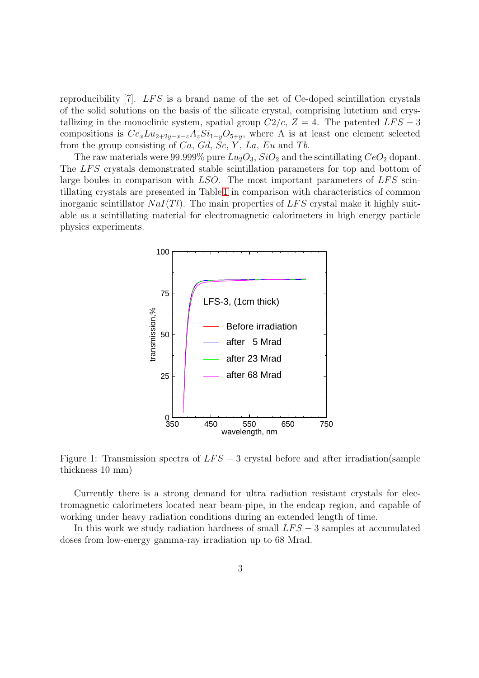reproducibility  $[7]$ . LFS is a brand name of the set of Ce-doped scintillation crystals of the solid solutions on the basis of the silicate crystal, comprising lutetium and crystallizing in the monoclinic system, spatial group  $C2/c$ ,  $Z = 4$ . The patented  $LFS - 3$ compositions is  $Ce_xLu_{2+2y-x-z}A_zSi_{1-y}O_{5+y}$ , where A is at least one element selected from the group consisting of  $Ca, Gd, Sc, Y, La, Eu$  and Tb.

The raw materials were 99.999% pure  $Lu_2O_3$ ,  $SiO_2$  and the scintillating  $CeO_2$  dopant. The LFS crystals demonstrated stable scintillation parameters for top and bottom of large boules in comparison with  $LSO$ . The most important parameters of  $LFS$  scintillating crystals are presented in Table [1](#page-1-0) in comparison with characteristics of common inorganic scintillator  $NaI(Tl)$ . The main properties of LFS crystal make it highly suitable as a scintillating material for electromagnetic calorimeters in high energy particle physics experiments.



<span id="page-2-0"></span>Figure 1: Transmission spectra of  $LFS - 3$  crystal before and after irradiation(sample thickness 10 mm)

Currently there is a strong demand for ultra radiation resistant crystals for electromagnetic calorimeters located near beam-pipe, in the endcap region, and capable of working under heavy radiation conditions during an extended length of time.

In this work we study radiation hardness of small  $LFS - 3$  samples at accumulated doses from low-energy gamma-ray irradiation up to 68 Mrad.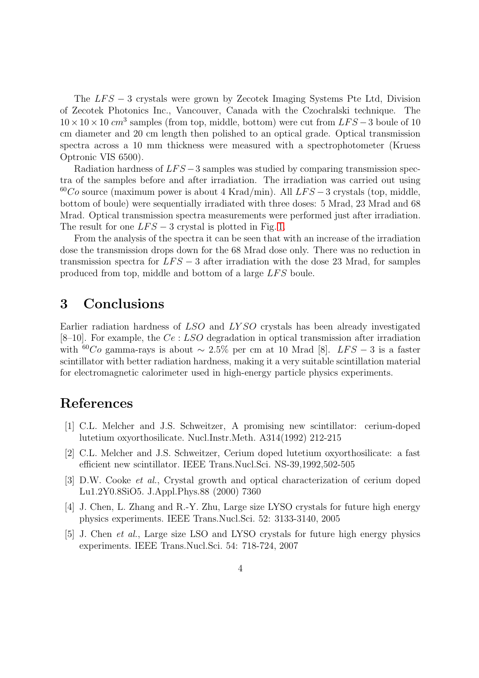The  $LFS - 3$  crystals were grown by Zecotek Imaging Systems Pte Ltd, Division of Zecotek Photonics Inc., Vancouver, Canada with the Czochralski technique. The  $10 \times 10 \times 10$  cm<sup>3</sup> samples (from top, middle, bottom) were cut from  $LFS-3$  boule of 10 cm diameter and 20 cm length then polished to an optical grade. Optical transmission spectra across a 10 mm thickness were measured with a spectrophotometer (Kruess Optronic VIS 6500).

Radiation hardness of  $LFS - 3$  samples was studied by comparing transmission spectra of the samples before and after irradiation. The irradiation was carried out using  $^{60}Co$  source (maximum power is about 4 Krad/min). All LFS – 3 crystals (top, middle, bottom of boule) were sequentially irradiated with three doses: 5 Mrad, 23 Mrad and 68 Mrad. Optical transmission spectra measurements were performed just after irradiation. The result for one  $LFS - 3$  crystal is plotted in Fig. [1.](#page-2-0)

From the analysis of the spectra it can be seen that with an increase of the irradiation dose the transmission drops down for the 68 Mrad dose only. There was no reduction in transmission spectra for  $LFS - 3$  after irradiation with the dose 23 Mrad, for samples produced from top, middle and bottom of a large LFS boule.

### 3 Conclusions

Earlier radiation hardness of LSO and LY SO crystals has been already investigated [8–10]. For example, the  $Ce:LSO$  degradation in optical transmission after irradiation with <sup>60</sup>Co gamma-rays is about ~ 2.5% per cm at 10 Mrad [8]. LFS – 3 is a faster scintillator with better radiation hardness, making it a very suitable scintillation material for electromagnetic calorimeter used in high-energy particle physics experiments.

# References

- [1] C.L. Melcher and J.S. Schweitzer, A promising new scintillator: cerium-doped lutetium oxyorthosilicate. Nucl.Instr.Meth. A314(1992) 212-215
- [2] C.L. Melcher and J.S. Schweitzer, Cerium doped lutetium oxyorthosilicate: a fast efficient new scintillator. IEEE Trans.Nucl.Sci. NS-39,1992,502-505
- [3] D.W. Cooke et al., Crystal growth and optical characterization of cerium doped Lu1.2Y0.8SiO5. J.Appl.Phys.88 (2000) 7360
- [4] J. Chen, L. Zhang and R.-Y. Zhu, Large size LYSO crystals for future high energy physics experiments. IEEE Trans.Nucl.Sci. 52: 3133-3140, 2005
- [5] J. Chen et al., Large size LSO and LYSO crystals for future high energy physics experiments. IEEE Trans.Nucl.Sci. 54: 718-724, 2007